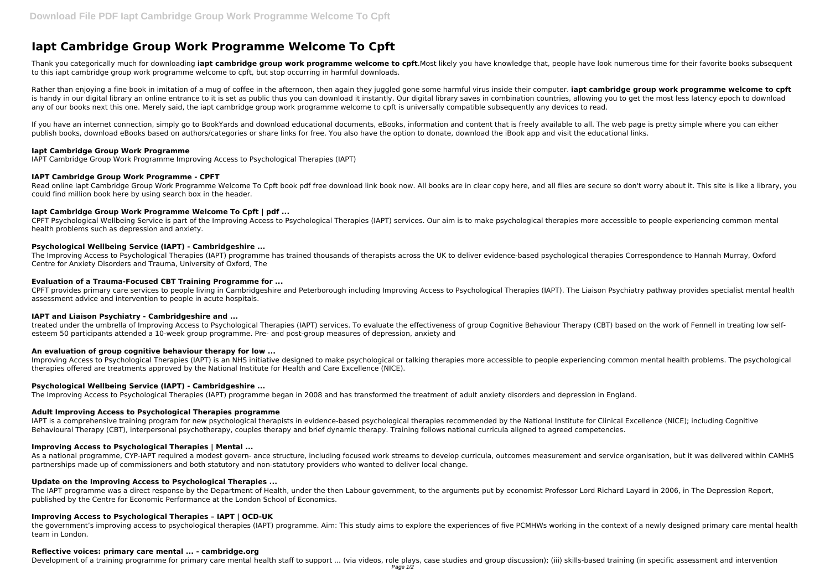# **Iapt Cambridge Group Work Programme Welcome To Cpft**

Thank you categorically much for downloading **iapt cambridge group work programme welcome to cpft**.Most likely you have knowledge that, people have look numerous time for their favorite books subsequent to this iapt cambridge group work programme welcome to cpft, but stop occurring in harmful downloads.

Rather than enjoying a fine book in imitation of a mug of coffee in the afternoon, then again they juggled gone some harmful virus inside their computer. **iapt cambridge group work programme welcome to cpft** is handy in our digital library an online entrance to it is set as public thus you can download it instantly. Our digital library saves in combination countries, allowing you to get the most less latency epoch to download any of our books next this one. Merely said, the iapt cambridge group work programme welcome to cpft is universally compatible subsequently any devices to read.

If you have an internet connection, simply go to BookYards and download educational documents, eBooks, information and content that is freely available to all. The web page is pretty simple where you can either publish books, download eBooks based on authors/categories or share links for free. You also have the option to donate, download the iBook app and visit the educational links.

Read online Iapt Cambridge Group Work Programme Welcome To Cpft book pdf free download link book now. All books are in clear copy here, and all files are secure so don't worry about it. This site is like a library, you could find million book here by using search box in the header.

# **Iapt Cambridge Group Work Programme**

IAPT Cambridge Group Work Programme Improving Access to Psychological Therapies (IAPT)

# **IAPT Cambridge Group Work Programme - CPFT**

# **Iapt Cambridge Group Work Programme Welcome To Cpft | pdf ...**

CPFT Psychological Wellbeing Service is part of the Improving Access to Psychological Therapies (IAPT) services. Our aim is to make psychological therapies more accessible to people experiencing common mental health problems such as depression and anxiety.

# **Psychological Wellbeing Service (IAPT) - Cambridgeshire ...**

As a national programme, CYP-IAPT required a modest govern- ance structure, including focused work streams to develop curricula, outcomes measurement and service organisation, but it was delivered within CAMHS partnerships made up of commissioners and both statutory and non-statutory providers who wanted to deliver local change.

The Improving Access to Psychological Therapies (IAPT) programme has trained thousands of therapists across the UK to deliver evidence-based psychological therapies Correspondence to Hannah Murray, Oxford Centre for Anxiety Disorders and Trauma, University of Oxford, The

# **Evaluation of a Trauma-Focused CBT Training Programme for ...**

CPFT provides primary care services to people living in Cambridgeshire and Peterborough including Improving Access to Psychological Therapies (IAPT). The Liaison Psychiatry pathway provides specialist mental health assessment advice and intervention to people in acute hospitals.

# **IAPT and Liaison Psychiatry - Cambridgeshire and ...**

treated under the umbrella of Improving Access to Psychological Therapies (IAPT) services. To evaluate the effectiveness of group Cognitive Behaviour Therapy (CBT) based on the work of Fennell in treating low selfesteem 50 participants attended a 10-week group programme. Pre- and post-group measures of depression, anxiety and

# **An evaluation of group cognitive behaviour therapy for low ...**

Improving Access to Psychological Therapies (IAPT) is an NHS initiative designed to make psychological or talking therapies more accessible to people experiencing common mental health problems. The psychological therapies offered are treatments approved by the National Institute for Health and Care Excellence (NICE).

# **Psychological Wellbeing Service (IAPT) - Cambridgeshire ...**

The Improving Access to Psychological Therapies (IAPT) programme began in 2008 and has transformed the treatment of adult anxiety disorders and depression in England.

# **Adult Improving Access to Psychological Therapies programme**

IAPT is a comprehensive training program for new psychological therapists in evidence-based psychological therapies recommended by the National Institute for Clinical Excellence (NICE); including Cognitive Behavioural Therapy (CBT), interpersonal psychotherapy, couples therapy and brief dynamic therapy. Training follows national curricula aligned to agreed competencies.

# **Improving Access to Psychological Therapies | Mental ...**

# **Update on the Improving Access to Psychological Therapies ...**

The IAPT programme was a direct response by the Department of Health, under the then Labour government, to the arguments put by economist Professor Lord Richard Layard in 2006, in The Depression Report, published by the Centre for Economic Performance at the London School of Economics.

# **Improving Access to Psychological Therapies – IAPT | OCD-UK**

the government's improving access to psychological therapies (IAPT) programme. Aim: This study aims to explore the experiences of five PCMHWs working in the context of a newly designed primary care mental health team in London.

# **Reflective voices: primary care mental ... - cambridge.org**

Development of a training programme for primary care mental health staff to support ... (via videos, role plays, case studies and group discussion); (iii) skills-based training (in specific assessment and intervention